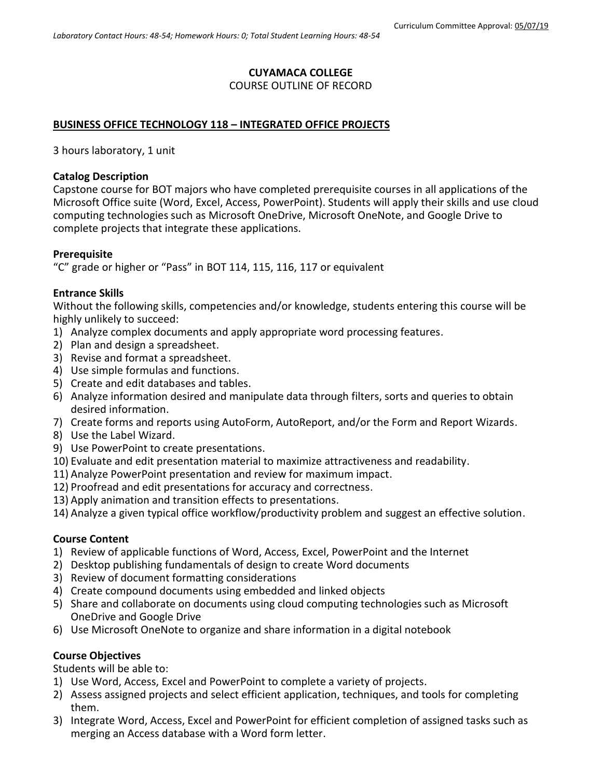## **CUYAMACA COLLEGE**

### COURSE OUTLINE OF RECORD

## **BUSINESS OFFICE TECHNOLOGY 118 – INTEGRATED OFFICE PROJECTS**

3 hours laboratory, 1 unit

### **Catalog Description**

Capstone course for BOT majors who have completed prerequisite courses in all applications of the Microsoft Office suite (Word, Excel, Access, PowerPoint). Students will apply their skills and use cloud computing technologies such as Microsoft OneDrive, Microsoft OneNote, and Google Drive to complete projects that integrate these applications.

### **Prerequisite**

"C" grade or higher or "Pass" in BOT 114, 115, 116, 117 or equivalent

### **Entrance Skills**

Without the following skills, competencies and/or knowledge, students entering this course will be highly unlikely to succeed:

- 1) Analyze complex documents and apply appropriate word processing features.
- 2) Plan and design a spreadsheet.
- 3) Revise and format a spreadsheet.
- 4) Use simple formulas and functions.
- 5) Create and edit databases and tables.
- 6) Analyze information desired and manipulate data through filters, sorts and queries to obtain desired information.
- 7) Create forms and reports using AutoForm, AutoReport, and/or the Form and Report Wizards.
- 8) Use the Label Wizard.
- 9) Use PowerPoint to create presentations.
- 10) Evaluate and edit presentation material to maximize attractiveness and readability.
- 11) Analyze PowerPoint presentation and review for maximum impact.
- 12) Proofread and edit presentations for accuracy and correctness.
- 13) Apply animation and transition effects to presentations.
- 14) Analyze a given typical office workflow/productivity problem and suggest an effective solution.

## **Course Content**

- 1) Review of applicable functions of Word, Access, Excel, PowerPoint and the Internet
- 2) Desktop publishing fundamentals of design to create Word documents
- 3) Review of document formatting considerations
- 4) Create compound documents using embedded and linked objects
- 5) Share and collaborate on documents using cloud computing technologies such as Microsoft OneDrive and Google Drive
- 6) Use Microsoft OneNote to organize and share information in a digital notebook

## **Course Objectives**

Students will be able to:

- 1) Use Word, Access, Excel and PowerPoint to complete a variety of projects.
- 2) Assess assigned projects and select efficient application, techniques, and tools for completing them.
- 3) Integrate Word, Access, Excel and PowerPoint for efficient completion of assigned tasks such as merging an Access database with a Word form letter.